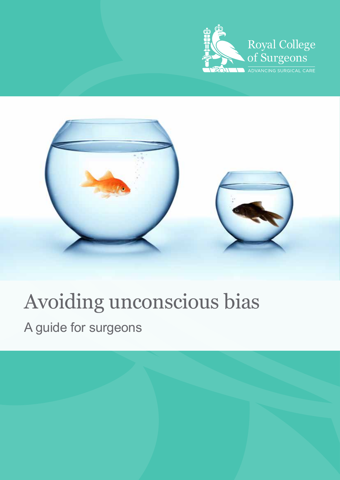



# Avoiding unconscious bias

A guide for surgeons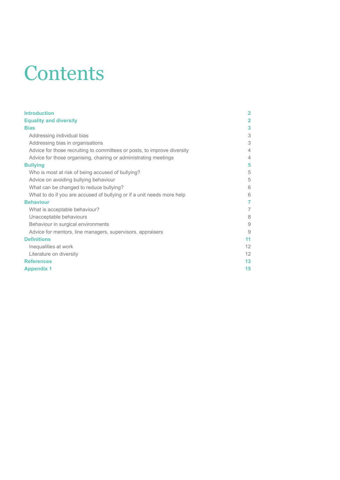# **Contents**

| <b>Introduction</b>                                                      | $\overline{2}$ |
|--------------------------------------------------------------------------|----------------|
| <b>Equality and diversity</b>                                            | $\overline{2}$ |
| <b>Bias</b>                                                              | 3              |
| Addressing individual bias                                               | 3              |
| Addressing bias in organisations                                         | 3              |
| Advice for those recruiting to committees or posts, to improve diversity | 4              |
| Advice for those organising, chairing or administrating meetings         | 4              |
| <b>Bullying</b>                                                          | 5              |
| Who is most at risk of being accused of bullying?                        | 5              |
| Advice on avoiding bullying behaviour                                    | 5              |
| What can be changed to reduce bullying?                                  | 6              |
| What to do if you are accused of bullying or if a unit needs more help   | 6              |
| <b>Behaviour</b>                                                         | 7              |
| What is acceptable behaviour?                                            | 7              |
| Unacceptable behaviours                                                  | 8              |
| Behaviour in surgical environments                                       | 9              |
| Advice for mentors, line managers, supervisors, appraisers               | 9              |
| <b>Definitions</b>                                                       | 11             |
| Inequalities at work                                                     | 12             |
| Literature on diversity                                                  | 12             |
| <b>References</b>                                                        | 13             |
| <b>Appendix 1</b>                                                        | 15             |
|                                                                          |                |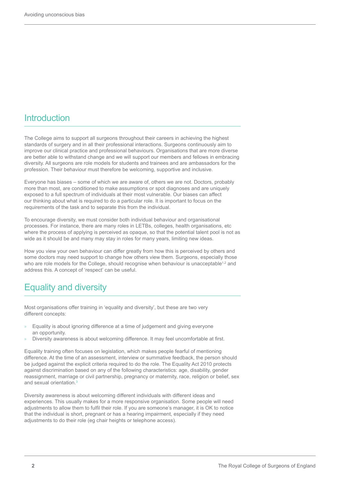## **Introduction**

The College aims to support all surgeons throughout their careers in achieving the highest standards of surgery and in all their professional interactions. Surgeons continuously aim to improve our clinical practice and professional behaviours. Organisations that are more diverse are better able to withstand change and we will support our members and fellows in embracing diversity. All surgeons are role models for students and trainees and are ambassadors for the profession. Their behaviour must therefore be welcoming, supportive and inclusive.

Everyone has biases – some of which we are aware of, others we are not. Doctors, probably more than most, are conditioned to make assumptions or spot diagnoses and are uniquely exposed to a full spectrum of individuals at their most vulnerable. Our biases can affect our thinking about what is required to do a particular role. It is important to focus on the requirements of the task and to separate this from the individual.

To encourage diversity, we must consider both individual behaviour and organisational processes. For instance, there are many roles in LETBs, colleges, health organisations, etc where the process of applying is perceived as opaque, so that the potential talent pool is not as wide as it should be and many may stay in roles for many years, limiting new ideas.

How you view your own behaviour can differ greatly from how this is perceived by others and some doctors may need support to change how others view them. Surgeons, especially those who are role models for the College, should recognise when behaviour is unacceptable<sup>1,2</sup> and address this. A concept of 'respect' can be useful.

## Equality and diversity

Most organisations offer training in 'equality and diversity', but these are two very different concepts:

- Equality is about ignoring difference at a time of judgement and giving everyone an opportunity.
- » Diversity awareness is about welcoming difference. It may feel uncomfortable at first.

Equality training often focuses on legislation, which makes people fearful of mentioning difference. At the time of an assessment, interview or summative feedback, the person should be judged against the explicit criteria required to do the role. The Equality Act 2010 protects against discrimination based on any of the following characteristics: age, disability, gender reassignment, marriage or civil partnership, pregnancy or maternity, race, religion or belief, sex and sexual orientation.3

Diversity awareness is about welcoming different individuals with different ideas and experiences. This usually makes for a more responsive organisation. Some people will need adjustments to allow them to fulfil their role. If you are someone's manager, it is OK to notice that the individual is short, pregnant or has a hearing impairment, especially if they need adjustments to do their role (eg chair heights or telephone access).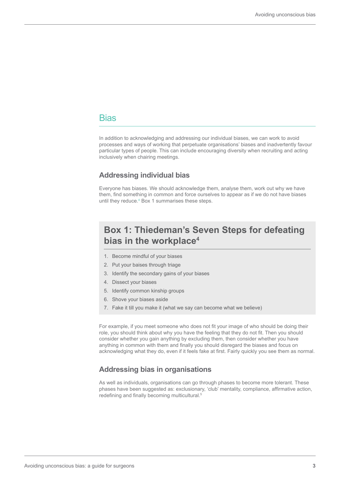### **Bias**

In addition to acknowledging and addressing our individual biases, we can work to avoid processes and ways of working that perpetuate organisations' biases and inadvertently favour particular types of people. This can include encouraging diversity when recruiting and acting inclusively when chairing meetings.

#### **Addressing individual bias**

Everyone has biases. We should acknowledge them, analyse them, work out why we have them, find something in common and force ourselves to appear as if we do not have biases until they reduce.<sup>4</sup> Box 1 summarises these steps.

## **Box 1: Thiedeman's Seven Steps for defeating bias in the workplace4**

- 1. Become mindful of your biases
- 2. Put your baises through triage
- 3. Identify the secondary gains of your biases
- 4. Dissect your biases
- 5. Identify common kinship groups
- 6. Shove your biases aside
- 7. Fake it till you make it (what we say can become what we believe)

For example, if you meet someone who does not fit your image of who should be doing their role, you should think about why you have the feeling that they do not fit. Then you should consider whether you gain anything by excluding them, then consider whether you have anything in common with them and finally you should disregard the biases and focus on acknowledging what they do, even if it feels fake at first. Fairly quickly you see them as normal.

#### **Addressing bias in organisations**

As well as individuals, organisations can go through phases to become more tolerant. These phases have been suggested as: exclusionary, 'club' mentality, compliance, affirmative action, redefining and finally becoming multicultural.<sup>5</sup>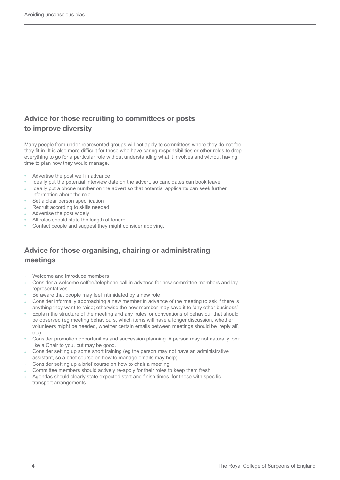### **Advice for those recruiting to committees or posts to improve diversity**

Many people from under-represented groups will not apply to committees where they do not feel they fit in. It is also more difficult for those who have caring responsibilities or other roles to drop everything to go for a particular role without understanding what it involves and without having time to plan how they would manage.

- » Advertise the post well in advance
- Ideally put the potential interview date on the advert, so candidates can book leave
- Ideally put a phone number on the advert so that potential applicants can seek further information about the role
- Set a clear person specification
- » Recruit according to skills needed
- » Advertise the post widely
- » All roles should state the length of tenure
- » Contact people and suggest they might consider applying.

## **Advice for those organising, chairing or administrating meetings**

- » Welcome and introduce members
- » Consider a welcome coffee/telephone call in advance for new committee members and lay representatives
- Be aware that people may feel intimidated by a new role
- » Consider informally approaching a new member in advance of the meeting to ask if there is anything they want to raise; otherwise the new member may save it to 'any other business'
- » Explain the structure of the meeting and any 'rules' or conventions of behaviour that should be observed (eg meeting behaviours, which items will have a longer discussion, whether volunteers might be needed, whether certain emails between meetings should be 'reply all', etc)
- » Consider promotion opportunities and succession planning. A person may not naturally look like a Chair to you, but may be good.
- » Consider setting up some short training (eg the person may not have an administrative assistant, so a brief course on how to manage emails may help)
- » Consider setting up a brief course on how to chair a meeting
- » Committee members should actively re-apply for their roles to keep them fresh
- » Agendas should clearly state expected start and finish times, for those with specific transport arrangements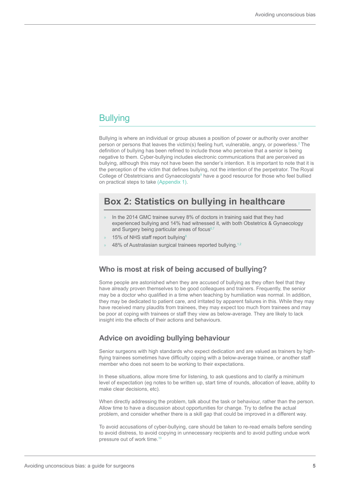## **Bullying**

Bullying is where an individual or group abuses a position of power or authority over another person or persons that leaves the victim(s) feeling hurt, vulnerable, angry, or powerless.<sup>2</sup> The definition of bullying has been refined to include those who perceive that a senior is being negative to them. Cyber-bullying includes electronic communications that are perceived as bullying, although this may not have been the sender's intention. It is important to note that it is the perception of the victim that defines bullying, not the intention of the perpetrator. The Royal College of Obstetricians and Gynaecologists<sup>9</sup> have a good resource for those who feel bullied on practical steps to take (Appendix 1).

## **Box 2: Statistics on bullying in healthcare**

- » In the 2014 GMC trainee survey 8% of doctors in training said that they had experienced bullying and 14% had witnessed it, with both Obstetrics & Gynaecology and Surgery being particular areas of focus6,7
- 15% of NHS staff report bullying<sup>8</sup>
- 48% of Australasian surgical trainees reported bullying.<sup>1,2</sup>

#### **Who is most at risk of being accused of bullying?**

Some people are astonished when they are accused of bullying as they often feel that they have already proven themselves to be good colleagues and trainers. Frequently, the senior may be a doctor who qualified in a time when teaching by humiliation was normal. In addition, they may be dedicated to patient care, and irritated by apparent failures in this. While they may have received many plaudits from trainees, they may expect too much from trainees and may be poor at coping with trainees or staff they view as below-average. They are likely to lack insight into the effects of their actions and behaviours.

#### **Advice on avoiding bullying behaviour**

Senior surgeons with high standards who expect dedication and are valued as trainers by highflying trainees sometimes have difficulty coping with a below-average trainee, or another staff member who does not seem to be working to their expectations.

In these situations, allow more time for listening, to ask questions and to clarify a minimum level of expectation (eg notes to be written up, start time of rounds, allocation of leave, ability to make clear decisions, etc).

When directly addressing the problem, talk about the task or behaviour, rather than the person. Allow time to have a discussion about opportunities for change. Try to define the actual problem, and consider whether there is a skill gap that could be improved in a different way.

To avoid accusations of cyber-bullying, care should be taken to re-read emails before sending to avoid distress, to avoid copying in unnecessary recipients and to avoid putting undue work pressure out of work time.10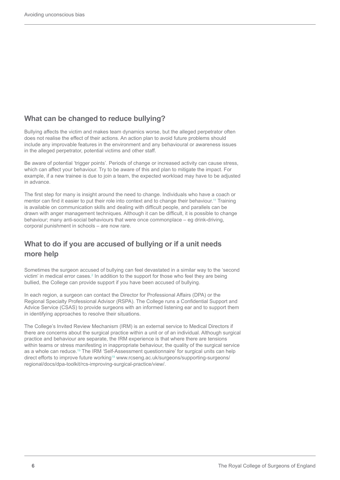### **What can be changed to reduce bullying?**

Bullying affects the victim and makes team dynamics worse, but the alleged perpetrator often does not realise the effect of their actions. An action plan to avoid future problems should include any improvable features in the environment and any behavioural or awareness issues in the alleged perpetrator, potential victims and other staff.

Be aware of potential 'trigger points'. Periods of change or increased activity can cause stress, which can affect your behaviour. Try to be aware of this and plan to mitigate the impact. For example, if a new trainee is due to join a team, the expected workload may have to be adjusted in advance.

The first step for many is insight around the need to change. Individuals who have a coach or mentor can find it easier to put their role into context and to change their behaviour. 11 Training is available on communication skills and dealing with difficult people, and parallels can be drawn with anger management techniques. Although it can be difficult, it is possible to change behaviour; many anti-social behaviours that were once commonplace – eg drink-driving, corporal punishment in schools – are now rare.

## **What to do if you are accused of bullying or if a unit needs more help**

Sometimes the surgeon accused of bullying can feel devastated in a similar way to the 'second victim' in medical error cases.<sup>2</sup> In addition to the support for those who feel they are being bullied, the College can provide support if you have been accused of bullying.

In each region, a surgeon can contact the Director for Professional Affairs (DPA) or the Regional Specialty Professional Advisor (RSPA). The College runs a Confidential Support and Advice Service (CSAS) to provide surgeons with an informed listening ear and to support them in identifying approaches to resolve their situations.

The College's Invited Review Mechanism (IRM) is an external service to Medical Directors if there are concerns about the surgical practice within a unit or of an individual. Although surgical practice and behaviour are separate, the IRM experience is that where there are tensions within teams or stress manifesting in inappropriate behaviour, the quality of the surgical service as a whole can reduce.19 The IRM 'Self-Assessment questionnaire' for surgical units can help direct efforts to improve future working<sup>19</sup> www.rcseng.ac.uk/surgeons/supporting-surgeons/ regional/docs/dpa-toolkit/rcs-improving-surgical-practice/view/.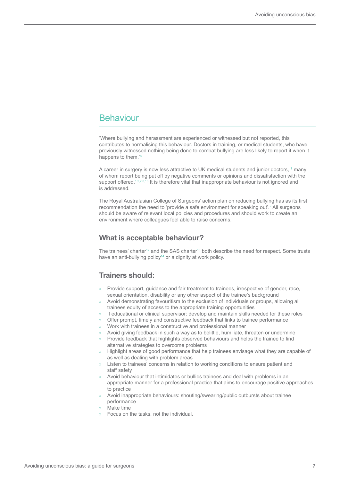## **Behaviour**

'Where bullying and harassment are experienced or witnessed but not reported, this contributes to normalising this behaviour. Doctors in training, or medical students, who have previously witnessed nothing being done to combat bullying are less likely to report it when it happens to them.<sup>'6</sup>

A career in surgery is now less attractive to UK medical students and junior doctors,<sup>17</sup> many of whom report being put off by negative comments or opinions and dissatisfaction with the support offered.<sup>1,2,7,8,18</sup> It is therefore vital that inappropriate behaviour is not ignored and is addressed.

The Royal Australasian College of Surgeons' action plan on reducing bullying has as its first recommendation the need to 'provide a safe environment for speaking out'.<sup>2</sup> All surgeons should be aware of relevant local policies and procedures and should work to create an environment where colleagues feel able to raise concerns.

#### **What is acceptable behaviour?**

The trainees' charter<sup>12</sup> and the SAS charter<sup>13</sup> both describe the need for respect. Some trusts have an anti-bullying policy<sup>14</sup> or a dignity at work policy.

#### **Trainers should:**

- » Provide support, guidance and fair treatment to trainees, irrespective of gender, race, sexual orientation, disability or any other aspect of the trainee's background
- » Avoid demonstrating favouritism to the exclusion of individuals or groups, allowing all trainees equity of access to the appropriate training opportunities
- » If educational or clinical supervisor: develop and maintain skills needed for these roles
- » Offer prompt, timely and constructive feedback that links to trainee performance
- » Work with trainees in a constructive and professional manner
- » Avoid giving feedback in such a way as to belittle, humiliate, threaten or undermine
- » Provide feedback that highlights observed behaviours and helps the trainee to find alternative strategies to overcome problems
- » Highlight areas of good performance that help trainees envisage what they are capable of as well as dealing with problem areas
- Listen to trainees' concerns in relation to working conditions to ensure patient and staff safety
- » Avoid behaviour that intimidates or bullies trainees and deal with problems in an appropriate manner for a professional practice that aims to encourage positive approaches to practice
- » Avoid inappropriate behaviours: shouting/swearing/public outbursts about trainee performance
- » Make time
- » Focus on the tasks, not the individual.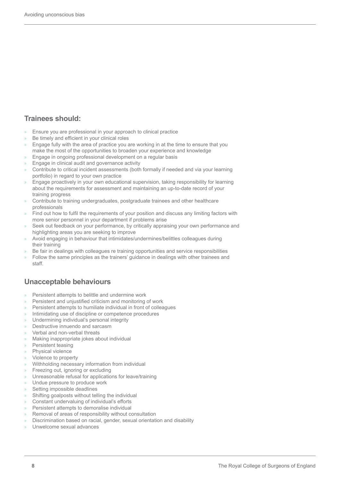### **Trainees should:**

- » Ensure you are professional in your approach to clinical practice
- Be timely and efficient in your clinical roles
- » Engage fully with the area of practice you are working in at the time to ensure that you make the most of the opportunities to broaden your experience and knowledge
- » Engage in ongoing professional development on a regular basis
- » Engage in clinical audit and governance activity
- » Contribute to critical incident assessments (both formally if needed and via your learning portfolio) in regard to your own practice
- » Engage proactively in your own educational supervision, taking responsibility for learning about the requirements for assessment and maintaining an up-to-date record of your training progress
- » Contribute to training undergraduates, postgraduate trainees and other healthcare professionals
- » Find out how to fulfil the requirements of your position and discuss any limiting factors with more senior personnel in your department if problems arise
- Seek out feedback on your performance, by critically appraising your own performance and highlighting areas you are seeking to improve
- » Avoid engaging in behaviour that intimidates/undermines/belittles colleagues during their training
- » Be fair in dealings with colleagues re training opportunities and service responsibilities
- » Follow the same principles as the trainers' guidance in dealings with other trainees and staff.

### **Unacceptable behaviours**

- » Persistent attempts to belittle and undermine work
- » Persistent and unjustified criticism and monitoring of work
- » Persistent attempts to humiliate individual in front of colleagues
- » Intimidating use of discipline or competence procedures
- » Undermining individual's personal integrity
- » Destructive innuendo and sarcasm
- » Verbal and non-verbal threats
- » Making inappropriate jokes about individual
- » Persistent teasing
- Physical violence
- » Violence to property
- » Withholding necessary information from individual
- » Freezing out, ignoring or excluding
- » Unreasonable refusal for applications for leave/training
- » Undue pressure to produce work
- Setting impossible deadlines
- » Shifting goalposts without telling the individual
- » Constant undervaluing of individual's efforts
- » Persistent attempts to demoralise individual
- » Removal of areas of responsibility without consultation
- » Discrimination based on racial, gender, sexual orientation and disability
- » Unwelcome sexual advances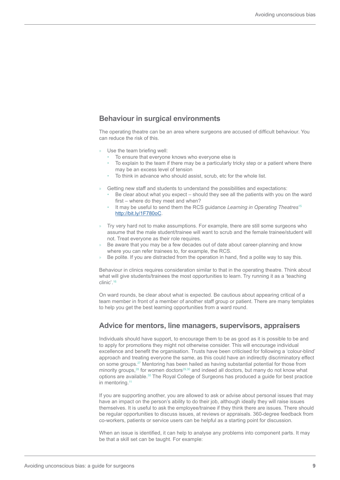#### **Behaviour in surgical environments**

The operating theatre can be an area where surgeons are accused of difficult behaviour. You can reduce the risk of this.

- Use the team briefing well:
	- To ensure that everyone knows who everyone else is
	- To explain to the team if there may be a particularly tricky step or a patient where there may be an excess level of tension
	- To think in advance who should assist, scrub, etc for the whole list.
- » Getting new staff and students to understand the possibilities and expectations:
	- Be clear about what you expect should they see all the patients with you on the ward first – where do they meet and when?
	- It may be useful to send them the RCS guidance *Learning in Operating Theatres*<sup>15</sup> http://bit.ly/1F780oC.
- » Try very hard not to make assumptions. For example, there are still some surgeons who assume that the male student/trainee will want to scrub and the female trainee/student will not. Treat everyone as their role requires.
- » Be aware that you may be a few decades out of date about career-planning and know where you can refer trainees to, for example, the RCS.
- Be polite. If you are distracted from the operation in hand, find a polite way to say this.

Behaviour in clinics requires consideration similar to that in the operating theatre. Think about what will give students/trainees the most opportunities to learn. Try running it as a 'teaching clinic'.16

On ward rounds, be clear about what is expected. Be cautious about appearing critical of a team member in front of a member of another staff group or patient. There are many templates to help you get the best learning opportunities from a ward round.

#### **Advice for mentors, line managers, supervisors, appraisers**

Individuals should have support, to encourage them to be as good as it is possible to be and to apply for promotions they might not otherwise consider. This will encourage individual excellence and benefit the organisation. Trusts have been criticised for following a 'colour-blind' approach and treating everyone the same, as this could have an indirectly discriminatory effect on some groups.27 Mentoring has been hailed as having substantial potential for those from minority groups,<sup>28</sup> for women doctors<sup>29,30</sup> and indeed all doctors, but many do not know what options are available.30 The Royal College of Surgeons has produced a guide for best practice in mentoring.<sup>11</sup>

If you are supporting another, you are allowed to ask or advise about personal issues that may have an impact on the person's ability to do their job, although ideally they will raise issues themselves. It is useful to ask the employee/trainee if they think there are issues. There should be regular opportunities to discuss issues, at reviews or appraisals. 360-degree feedback from co-workers, patients or service users can be helpful as a starting point for discussion.

When an issue is identified, it can help to analyse any problems into component parts. It may be that a skill set can be taught. For example: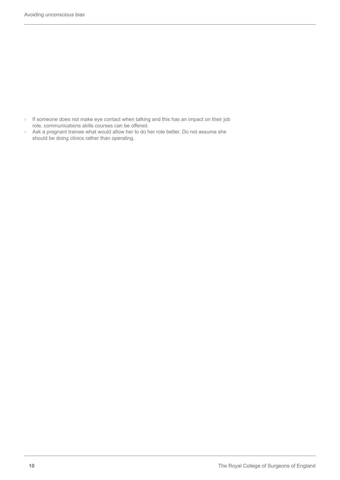- » If someone does not make eye contact when talking and this has an impact on their job role, communications skills courses can be offered.
- » Ask a pregnant trainee what would allow her to do her role better. Do not assume she should be doing clinics rather than operating.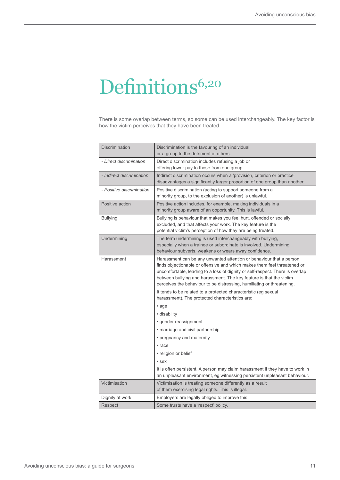# Definitions<sup>6,20</sup>

There is some overlap between terms, so some can be used interchangeably. The key factor is how the victim perceives that they have been treated.

| <b>Discrimination</b>     | Discrimination is the favouring of an individual<br>or a group to the detriment of others.                                                                                                                                                                                                                                                                                        |
|---------------------------|-----------------------------------------------------------------------------------------------------------------------------------------------------------------------------------------------------------------------------------------------------------------------------------------------------------------------------------------------------------------------------------|
| - Direct discrimination   | Direct discrimination includes refusing a job or<br>offering lower pay to those from one group.                                                                                                                                                                                                                                                                                   |
| - Indirect discrimination | Indirect discrimination occurs when a 'provision, criterion or practice'<br>disadvantages a significantly larger proportion of one group than another.                                                                                                                                                                                                                            |
| - Positive discrimination | Positive discrimination (acting to support someone from a<br>minority group, to the exclusion of another) is unlawful.                                                                                                                                                                                                                                                            |
| Positive action           | Positive action includes, for example, making individuals in a<br>minority group aware of an opportunity. This is lawful.                                                                                                                                                                                                                                                         |
| <b>Bullying</b>           | Bullying is behaviour that makes you feel hurt, offended or socially<br>excluded, and that affects your work. The key feature is the<br>potential victim's perception of how they are being treated.                                                                                                                                                                              |
| Undermining               | The term undermining is used interchangeably with bullying,<br>especially when a trainee or subordinate is involved. Undermining<br>behaviour subverts, weakens or wears away confidence.                                                                                                                                                                                         |
| Harassment                | Harassment can be any unwanted attention or behaviour that a person<br>finds objectionable or offensive and which makes them feel threatened or<br>uncomfortable, leading to a loss of dignity or self-respect. There is overlap<br>between bullying and harassment. The key feature is that the victim<br>perceives the behaviour to be distressing, humiliating or threatening. |
|                           | It tends to be related to a protected characteristic (eg sexual<br>harassment). The protected characteristics are:                                                                                                                                                                                                                                                                |
|                           | • age                                                                                                                                                                                                                                                                                                                                                                             |
|                           | • disability                                                                                                                                                                                                                                                                                                                                                                      |
|                           | • gender reassignment                                                                                                                                                                                                                                                                                                                                                             |
|                           | • marriage and civil partnership                                                                                                                                                                                                                                                                                                                                                  |
|                           | • pregnancy and maternity                                                                                                                                                                                                                                                                                                                                                         |
|                           | • race                                                                                                                                                                                                                                                                                                                                                                            |
|                           | • religion or belief                                                                                                                                                                                                                                                                                                                                                              |
|                           | • sex                                                                                                                                                                                                                                                                                                                                                                             |
|                           | It is often persistent. A person may claim harassment if they have to work in<br>an unpleasant environment, eg witnessing persistent unpleasant behaviour.                                                                                                                                                                                                                        |
| Victimisation             | Victimisation is treating someone differently as a result<br>of them exercising legal rights. This is illegal.                                                                                                                                                                                                                                                                    |
| Dignity at work           | Employers are legally obliged to improve this.                                                                                                                                                                                                                                                                                                                                    |
| Respect                   | Some trusts have a 'respect' policy.                                                                                                                                                                                                                                                                                                                                              |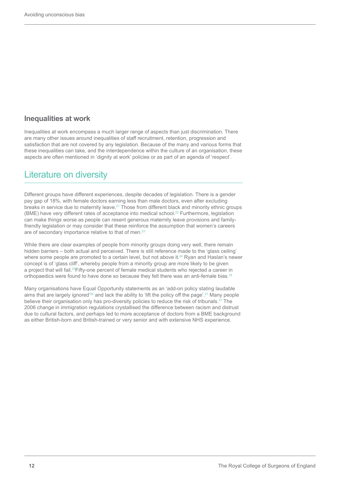#### **Inequalities at work**

Inequalities at work encompass a much larger range of aspects than just discrimination. There are many other issues around inequalities of staff recruitment, retention, progression and satisfaction that are not covered by any legislation. Because of the many and various forms that these inequalities can take, and the interdependence within the culture of an organisation, these aspects are often mentioned in 'dignity at work' policies or as part of an agenda of 'respect'.

## Literature on diversity

Different groups have different experiences, despite decades of legislation. There is a gender pay gap of 18%, with female doctors earning less than male doctors, even after excluding breaks in service due to maternity leave.21 Those from different black and minority ethnic groups (BME) have very different rates of acceptance into medical school.<sup>22</sup> Furthermore, legislation can make things worse as people can resent generous maternity leave provisions and familyfriendly legislation or may consider that these reinforce the assumption that women's careers are of secondary importance relative to that of men.<sup>23</sup>

While there are clear examples of people from minority groups doing very well, there remain hidden barriers – both actual and perceived. There is still reference made to the 'glass ceiling' where some people are promoted to a certain level, but not above it.<sup>24</sup> Ryan and Haslan's newer concept is of 'glass cliff', whereby people from a minority group are more likely to be given a project that will fail.25Fifty-one percent of female medical students who rejected a career in orthopaedics were found to have done so because they felt there was an anti-female bias.18

Many organisations have Equal Opportunity statements as an 'add-on policy stating laudable aims that are largely ignored<sup>'26</sup> and lack the ability to 'lift the policy off the page'.<sup>27</sup> Many people believe their organisation only has pro-diversity policies to reduce the risk of tribunals.<sup>27</sup> The 2006 change in immigration regulations crystallised the difference between racism and distrust due to cultural factors, and perhaps led to more acceptance of doctors from a BME background as either British-born and British-trained or very senior and with extensive NHS experience.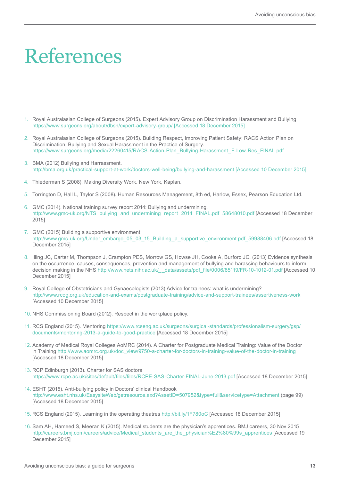# References

- 1. Royal Australasian College of Surgeons (2015). Expert Advisory Group on Discrimination Harassment and Bullying https://www.surgeons.org/about/dbsh/expert-advisory-group/ [Accessed 18 December 2015]
- 2. Royal Australasian College of Surgeons (2015). Building Respect, Improving Patient Safety: RACS Action Plan on Discrimination, Bullying and Sexual Harassment in the Practice of Surgery. https://www.surgeons.org/media/22260415/RACS-Action-Plan\_Bullying-Harassment\_F-Low-Res\_FINAL.pdf
- 3. BMA (2012) Bullying and Harrassment. http://bma.org.uk/practical-support-at-work/doctors-well-being/bullying-and-harassment [Accessed 10 December 2015]
- 4. Thiederman S (2008). Making Diversity Work. New York, Kaplan.
- 5. Torrington D, Hall L, Taylor S (2008). Human Resources Management, 8th ed, Harlow, Essex, Pearson Education Ltd.
- 6. GMC (2014). National training survey report 2014: Bullying and undermining. http://www.gmc-uk.org/NTS\_bullying\_and\_undermining\_report\_2014\_FINAL.pdf\_58648010.pdf [Accessed 18 December 2015]
- 7. GMC (2015) Building a supportive environment http://www.gmc-uk.org/Under\_embargo\_05\_03\_15\_Building\_a\_supportive\_environment.pdf\_59988406.pdf [Accessed 18 December 2015]
- 8. Illing JC, Carter M, Thompson J, Crampton PES, Morrow GS, Howse JH, Cooke A, Burford JC. (2013) Evidence synthesis on the occurrence, causes, consequences, prevention and management of bullying and harassing behaviours to inform decision making in the NHS http://www.nets.nihr.ac.uk/ data/assets/pdf file/0006/85119/FR-10-1012-01.pdf [Accessed 10 December 2015]
- 9. Royal College of Obstetricians and Gynaecologists (2013) Advice for trainees: what is undermining? http://www.rcog.org.uk/education-and-exams/postgraduate-training/advice-and-support-trainees/assertiveness-work [Accessed 10 December 2015]
- 10. NHS Commissioning Board (2012). Respect in the workplace policy.
- 11. RCS England (2015). Mentoring https://www.rcseng.ac.uk/surgeons/surgical-standards/professionalism-surgery/gsp/ documents/mentoring-2013-a-guide-to-good-practice [Accessed 18 December 2015]
- 12. Academy of Medical Royal Colleges AoMRC (2014). A Charter for Postgraduate Medical Training: Value of the Doctor in Training http://www.aomrc.org.uk/doc\_view/9750-a-charter-for-doctors-in-training-value-of-the-doctor-in-training [Accessed 18 December 2015]
- 13. RCP Edinburgh (2013). Charter for SAS doctors https://www.rcpe.ac.uk/sites/default/files/files/RCPE-SAS-Charter-FINAL-June-2013.pdf [Accessed 18 December 2015]
- 14. ESHT (2015). Anti-bullying policy in Doctors' clinical Handbook http://www.esht.nhs.uk/EasysiteWeb/getresource.axd?AssetID=507952&type=full&servicetype=Attachment (page 99) [Accessed 18 December 2015]
- 15. RCS England (2015). Learning in the operating theatres http://bit.ly/1F780oC [Accessed 18 December 2015]
- 16. Sam AH, Hameed S, Meeran K (2015). Medical students are the physician's apprentices. BMJ careers, 30 Nov 2015 http://careers.bmj.com/careers/advice/Medical\_students\_are\_the\_physician%E2%80%99s\_apprentices [Accessed 19 December 2015]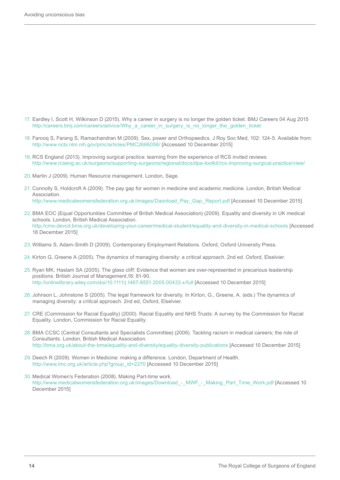- 17. Eardley I, Scott H, Wilkinson D (2015). Why a career in surgery is no longer the golden ticket. BMJ Careers 04 Aug 2015 http://careers.bmj.com/careers/advice/Why\_a\_career\_in\_surgery\_is\_no\_longer\_the\_golden\_ticket
- 18. Farooq S, Farang S, Ramachandran M (2009). Sex, power and Orthopaedics. J Roy Soc Med, 102: 124-5. Available from: http://www.ncbi.nlm.nih.gov/pmc/articles/PMC2666056/ [Accessed 10 December 2015]
- 19. RCS England (2013). Improving surgical practice: learning from the experience of RCS invited reviews http://www.rcseng.ac.uk/surgeons/supporting-surgeons/regional/docs/dpa-toolkit/rcs-improving-surgical-practice/view/
- 20. Martin J (2009). Human Resource management. London, Sage.
- 21. Connolly S, Holdcroft A (2009). The pay gap for women in medicine and academic medicine. London, British Medical Association. http://www.medicalwomensfederation.org.uk/images/Daonload\_Pay\_Gap\_Report.pdf [Accessed 10 December 2015]
- 22.BMA EOC (Equal Opportunities Committee of British Medical Association) (2009). Equality and diversity in UK medical schools. London, British Medical Association. http://cms-devcd.bma.org.uk/developing-your-career/medical-student/equality-and-diversity-in-medical-schools [Accessed 18 December 2015]
- 23. Williams S, Adam-Smith D (2009). Contemporary Employment Relations. Oxford, Oxford University Press.
- 24. Kirton G, Greene A (2005). The dynamics of managing diversity: a critical approach. 2nd ed. Oxford, Elselvier.
- 25. Ryan MK, Haslam SA (2005). The glass cliff: Evidence that women are over-represented in precarious leadership positions. British Journal of Management,16: 81-90. http://onlinelibrary.wiley.com/doi/10.1111/j.1467-8551.2005.00433.x/full [Accessed 10 December 2015]
- 26. Johnson L, Johnstone S (2005). The legal framework for diversity. In Kirton, G., Greene, A. (eds.) The dynamics of managing diversity: a critical approach. 2nd ed, Oxford, Elselvier.
- 27. CRE (Commission for Racial Equality) (2000). Racial Equality and NHS Trusts: A survey by the Commission for Racial Equality. London, Commission for Racial Equality.
- 28. BMA CCSC (Central Consultants and Specialists Committee) (2006). Tackling racism in medical careers; the role of Consultants. London, British Medical Association. http://bma.org.uk/about-the-bma/equality-and-diversity/equality-diversity-publications [Accessed 10 December 2015]
- 29. Deech R (2009). Women in Medicine: making a difference. London, Department of Health. http://www.lmc.org.uk/article.php?group\_id=2270 [Accessed 10 December 2015]
- 30. Medical Women's Federation (2008). Making Part-time work. http://www.medicalwomensfederation.org.uk/images/Download\_-\_MWF\_-\_Making\_Part\_Time\_Work.pdf [Accessed 10 December 2015]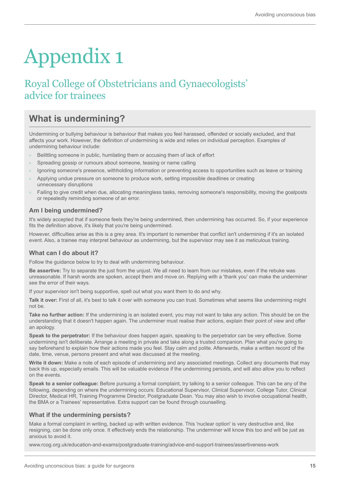# Appendix 1

## Royal College of Obstetricians and Gynaecologists' advice for trainees

## **What is undermining?**

Undermining or bullying behaviour is behaviour that makes you feel harassed, offended or socially excluded, and that affects your work. However, the definition of undermining is wide and relies on individual perception. Examples of undermining behaviour include:

- Belittling someone in public, humilating them or accusing them of lack of effort
- Spreading gossip or rumours about someone, teasing or name calling
- » Ignoring someone's presence, withholding information or preventing access to opportunities such as leave or training
- » Applying undue pressure on someone to produce work, setting impossible deadlines or creating unnecessary disruptions
- » Failing to give credit when due, allocating meaningless tasks, removing someone's responsibility, moving the goalposts or repeatedly reminding someone of an error.

#### **Am I being undermined?**

It's widely accepted that if someone feels they're being undermined, then undermining has occurred. So, if your experience fits the definition above, it's likely that you're being undermined.

However, difficulties arise as this is a grey area. It's important to remember that conflict isn't undermining if it's an isolated event. Also, a trainee may interpret behaviour as undermining, but the supervisor may see it as meticulous training.

#### **What can I do about it?**

Follow the guidance below to try to deal with undermining behaviour.

**Be assertive:** Try to separate the just from the unjust. We all need to learn from our mistakes, even if the rebuke was unreasonable. If harsh words are spoken, accept them and move on. Replying with a 'thank you' can make the underminer see the error of their ways.

If your supervisor isn't being supportive, spell out what you want them to do and why.

**Talk it over:** First of all, it's best to talk it over with someone you can trust. Sometimes what seems like undermining might not be.

**Take no further action:** If the undermining is an isolated event, you may not want to take any action. This should be on the understanding that it doesn't happen again. The underminer must realise their actions, explain their point of view and offer an apology.

**Speak to the perpetrator:** If the behaviour does happen again, speaking to the perpetrator can be very effective. Some undermining isn't deliberate. Arrange a meeting in private and take along a trusted companion. Plan what you're going to say beforehand to explain how their actions made you feel. Stay calm and polite. Afterwards, make a written record of the date, time, venue, persons present and what was discussed at the meeting.

**Write it down:** Make a note of each episode of undermining and any associated meetings. Collect any documents that may back this up, especially emails. This will be valuable evidence if the undermining persists, and will also allow you to reflect on the events.

**Speak to a senior colleague:** Before pursuing a formal complaint, try talking to a senior colleague. This can be any of the following, depending on where the undermining occurs: Educational Supervisor, Clinical Supervisor, College Tutor, Clinical Director, Medical HR, Training Programme Director, Postgraduate Dean. You may also wish to involve occupational health, the BMA or a Trainees' representative. Extra support can be found through counselling.

#### **What if the undermining persists?**

Make a formal complaint in writing, backed up with written evidence. This 'nuclear option' is very destructive and, like resigning, can be done only once. It effectively ends the relationship. The underminer will know this too and will be just as anxious to avoid it.

www.rcog.org.uk/education-and-exams/postgraduate-training/advice-and-support-trainees/assertiveness-work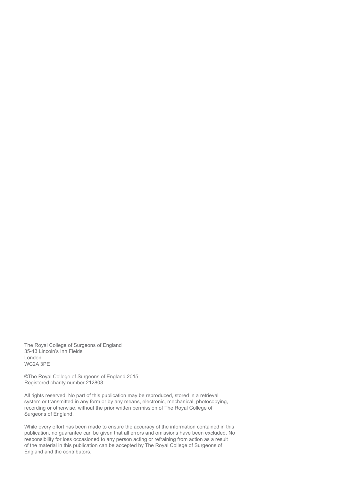The Royal College of Surgeons of England 35-43 Lincoln's Inn Fields London WC2A 3PE

©The Royal College of Surgeons of England 2015 Registered charity number 212808

All rights reserved. No part of this publication may be reproduced, stored in a retrieval system or transmitted in any form or by any means, electronic, mechanical, photocopying, recording or otherwise, without the prior written permission of The Royal College of Surgeons of England.

While every effort has been made to ensure the accuracy of the information contained in this publication, no guarantee can be given that all errors and omissions have been excluded. No responsibility for loss occasioned to any person acting or refraining from action as a result of the material in this publication can be accepted by The Royal College of Surgeons of England and the contributors.